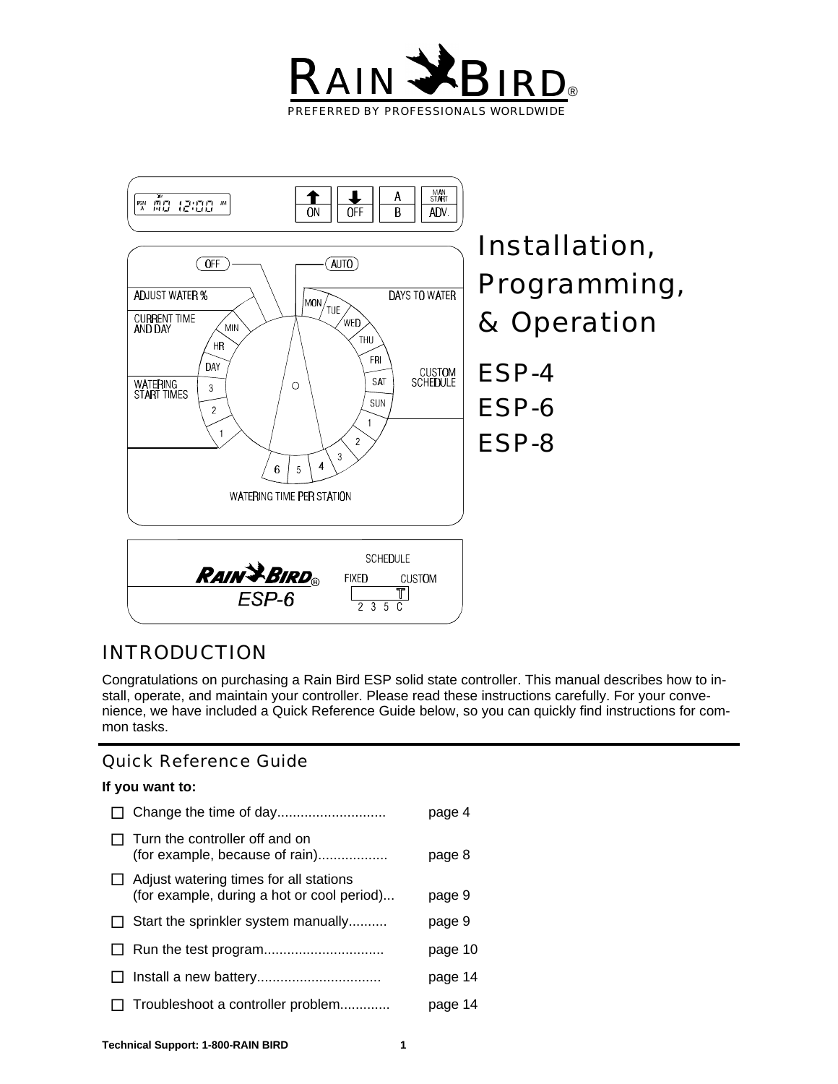



# *INTRODUCTION*

Congratulations on purchasing a Rain Bird ESP solid state controller. This manual describes how to install, operate, and maintain your controller. Please read these instructions carefully. For your convenience, we have included a Quick Reference Guide below, so you can quickly find instructions for common tasks.

# Quick Reference Guide

#### **If you want to:**

|              |                                                                                             | page 4  |
|--------------|---------------------------------------------------------------------------------------------|---------|
|              | Turn the controller off and on<br>(for example, because of rain)                            | page 8  |
|              | $\Box$ Adjust watering times for all stations<br>(for example, during a hot or cool period) | page 9  |
| $\perp$      | Start the sprinkler system manually                                                         | page 9  |
|              |                                                                                             | page 10 |
| $\perp$      |                                                                                             | page 14 |
| $\mathsf{L}$ | Troubleshoot a controller problem                                                           | page 14 |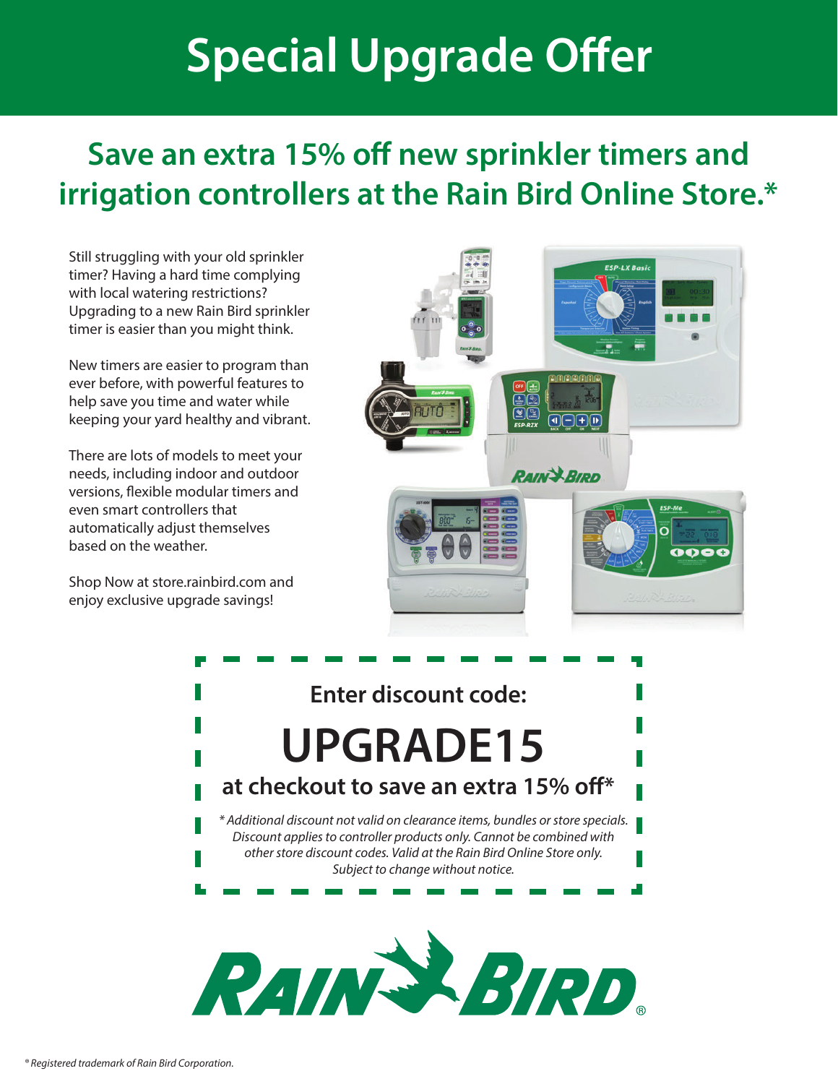# **Special Upgrade Offer**

# **Save an extra 15% off new sprinkler timers and irrigation controllers at the Rain Bird Online Store.\***

Still struggling with your old sprinkler timer? Having a hard time complying with local watering restrictions? Upgrading to a new Rain Bird sprinkler timer is easier than you might think.

New timers are easier to program than ever before, with powerful features to help save you time and water while keeping your yard healthy and vibrant.

There are lots of models to meet your needs, including indoor and outdoor versions, flexible modular timers and even smart controllers that automatically adjust themselves based on the weather.

[Shop Now at store.rainbird.com and](http://store.rainbird.com/controller-upgrade?utm_source=Upgrade&utm_medium=PDF&utm_campaign=ControllerUpgradeAd)  enjoy exclusive upgrade savings!



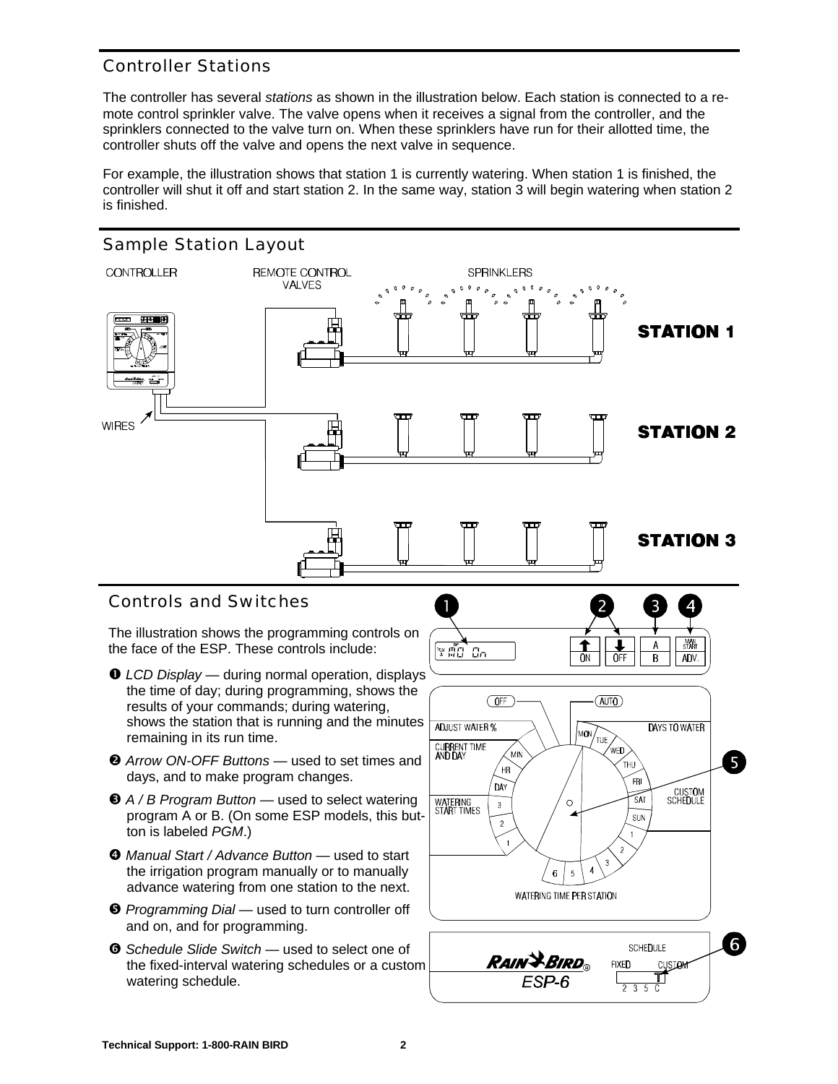# Controller Stations

The controller has several *stations* as shown in the illustration below. Each station is connected to a remote control sprinkler valve. The valve opens when it receives a signal from the controller, and the sprinklers connected to the valve turn on. When these sprinklers have run for their allotted time, the controller shuts off the valve and opens the next valve in sequence.

For example, the illustration shows that station 1 is currently watering. When station 1 is finished, the controller will shut it off and start station 2. In the same way, station 3 will begin watering when station 2 is finished.

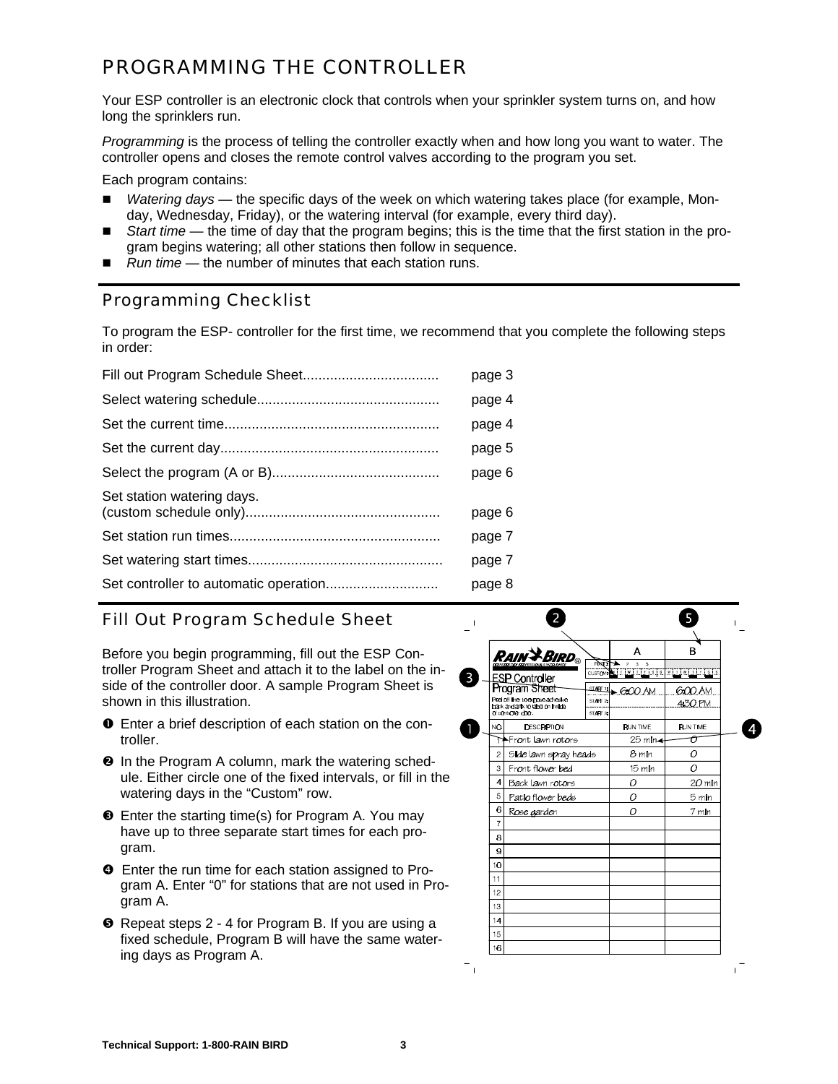# *PROGRAMMING THE CONTROLLER*

Your ESP controller is an electronic clock that controls when your sprinkler system turns on, and how long the sprinklers run.

*Programming* is the process of telling the controller exactly when and how long you want to water. The controller opens and closes the remote control valves according to the program you set.

Each program contains:

- n *Watering days* the specific days of the week on which watering takes place (for example, Monday, Wednesday, Friday), or the watering interval (for example, every third day).
- *Start time* the time of day that the program begins; this is the time that the first station in the program begins watering; all other stations then follow in sequence.
- Run time the number of minutes that each station runs.

#### Programming Checklist

To program the ESP- controller for the first time, we recommend that you complete the following steps in order:

|                            | page 3 |
|----------------------------|--------|
|                            | page 4 |
|                            | page 4 |
|                            | page 5 |
|                            | page 6 |
| Set station watering days. | page 6 |
|                            | page 7 |
|                            | page 7 |
|                            | page 8 |
|                            |        |

# Fill Out Program Schedule Sheet

Before you begin programming, fill out the ESP Controller Program Sheet and attach it to the label on the inside of the controller door. A sample Program Sheet is shown in this illustration.

- å Enter a brief description of each station on the controller.
- $\Theta$  In the Program A column, mark the watering schedule. Either circle one of the fixed intervals, or fill in the watering days in the "Custom" row.
- **E** Enter the starting time(s) for Program A. You may have up to three separate start times for each program.
- $\bullet$  Enter the run time for each station assigned to Program A. Enter "0" for stations that are not used in Program A.
- ê Repeat steps 2 4 for Program B. If you are using a fixed schedule, Program B will have the same watering days as Program A.

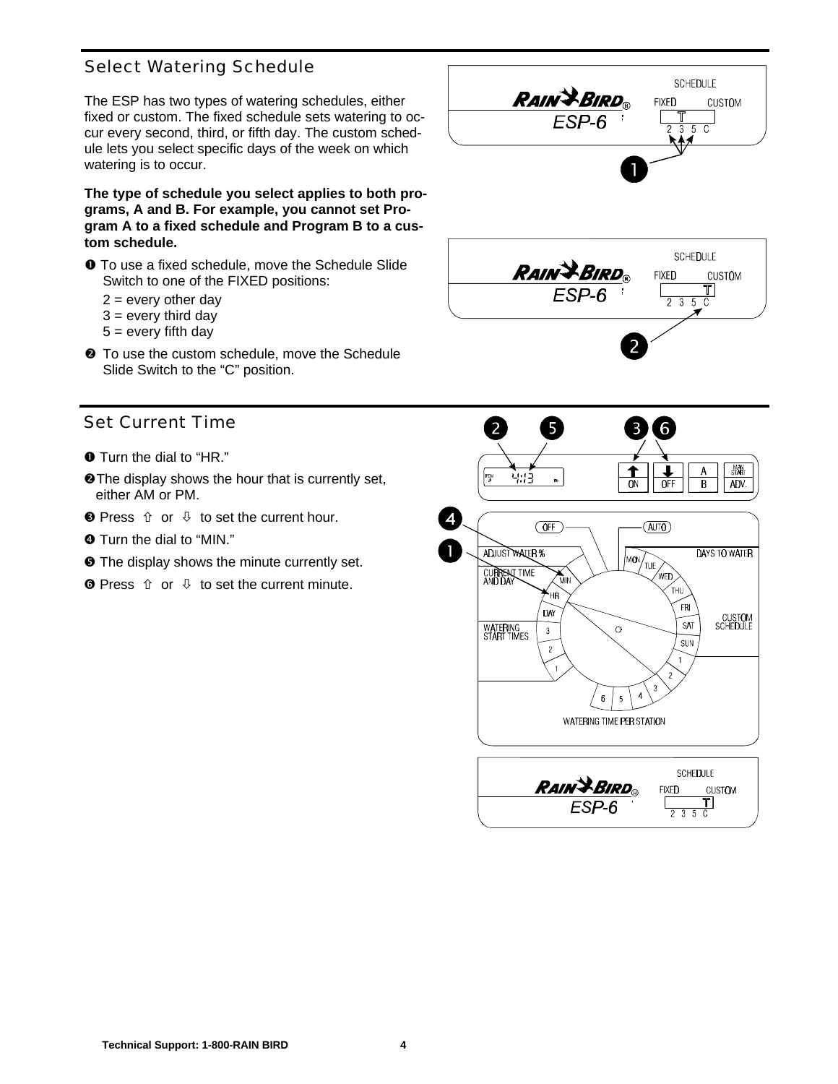# Select Watering Schedule

The ESP has two types of watering schedules, either fixed or custom. The fixed schedule sets watering to occur every second, third, or fifth day. The custom schedule lets you select specific days of the week on which watering is to occur.

**The type of schedule you select applies to both programs, A and B. For example, you cannot set Program A to a fixed schedule and Program B to a custom schedule.**

- å To use a fixed schedule, move the Schedule Slide Switch to one of the FIXED positions:
	- $2 =$  every other day
	- $3 =$  every third day
	- $5 =$  every fifth day
- $\odot$  To use the custom schedule, move the Schedule Slide Switch to the "C" position.

# Set Current Time

- $\bullet$  Turn the dial to "HR."
- **@The display shows the hour that is currently set,** either AM or PM.
- $\bullet$  Press  $\Uparrow$  or  $\Downarrow$  to set the current hour.
- **O** Turn the dial to "MIN."
- $\Theta$  The display shows the minute currently set.
- $\bullet$  Press  $\hat{u}$  or  $\theta$  to set the current minute.



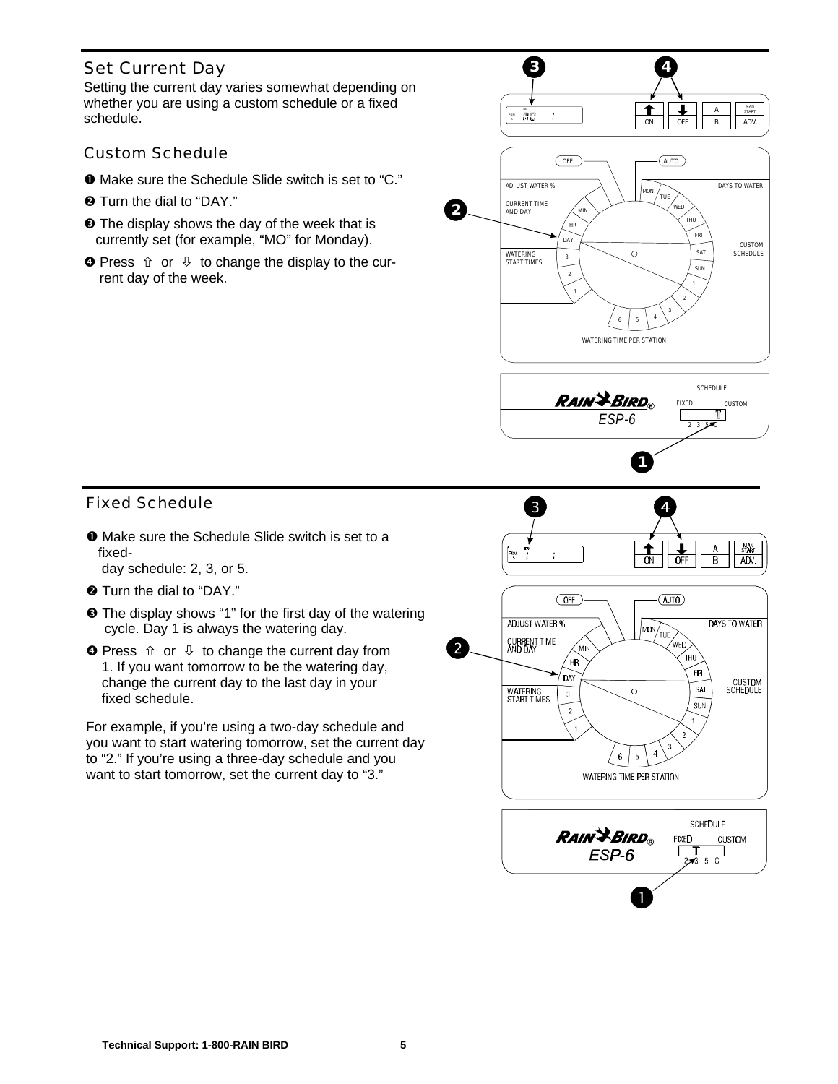Setting the current day varies somewhat depending on whether you are using a custom schedule or a fixed schedule.

#### Custom Schedule

- å Make sure the Schedule Slide switch is set to "C."
- $\Theta$  Turn the dial to "DAY."
- $\Theta$  The display shows the day of the week that is currently set (for example, "MO" for Monday).
- $\bullet$  Press  $\hat{U}$  or  $\hat{U}$  to change the display to the current day of the week.

Fixed Schedule

å Make sure the Schedule Slide switch is set to a fixed-

day schedule: 2, 3, or 5.

- $\Theta$  Turn the dial to "DAY."
- $\Theta$  The display shows "1" for the first day of the watering cycle. Day 1 is always the watering day.
- $\bullet$  Press  $\hat{U}$  or  $\hat{U}$  to change the current day from 1. If you want tomorrow to be the watering day, change the current day to the last day in your fixed schedule.

For example, if you're using a two-day schedule and you want to start watering tomorrow, set the current day to "2." If you're using a three-day schedule and you want to start tomorrow, set the current day to "3."

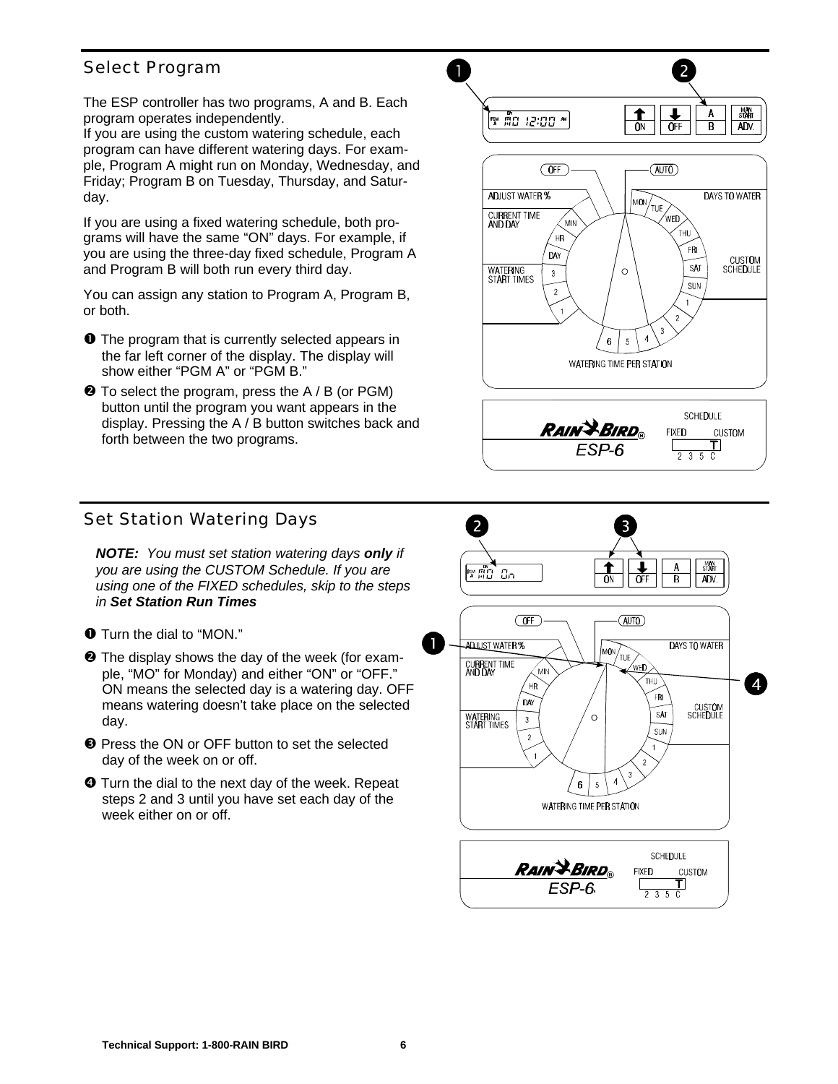# Select Program

The ESP controller has two programs, A and B. Each program operates independently.

If you are using the custom watering schedule, each program can have different watering days. For example, Program A might run on Monday, Wednesday, and Friday; Program B on Tuesday, Thursday, and Saturday.

If you are using a fixed watering schedule, both programs will have the same "ON" days. For example, if you are using the three-day fixed schedule, Program A and Program B will both run every third day.

You can assign any station to Program A, Program B, or both.

- $\bullet$  The program that is currently selected appears in the far left corner of the display. The display will show either "PGM A" or "PGM B."
- $\Theta$  To select the program, press the A / B (or PGM) button until the program you want appears in the display. Pressing the A / B button switches back and forth between the two programs.



1





# Set Station Watering Days

*NOTE: You must set station watering days only if you are using the CUSTOM Schedule. If you are using one of the FIXED schedules, skip to the steps in Set Station Run Times*

- $\odot$  The display shows the day of the week (for example, "MO" for Monday) and either "ON" or "OFF." ON means the selected day is a watering day. OFF means watering doesn't take place on the selected day.
- $\bullet$  Press the ON or OFF button to set the selected day of the week on or off.
- $\bullet$  Turn the dial to the next day of the week. Repeat steps 2 and 3 until you have set each day of the week either on or off.



å Turn the dial to "MON."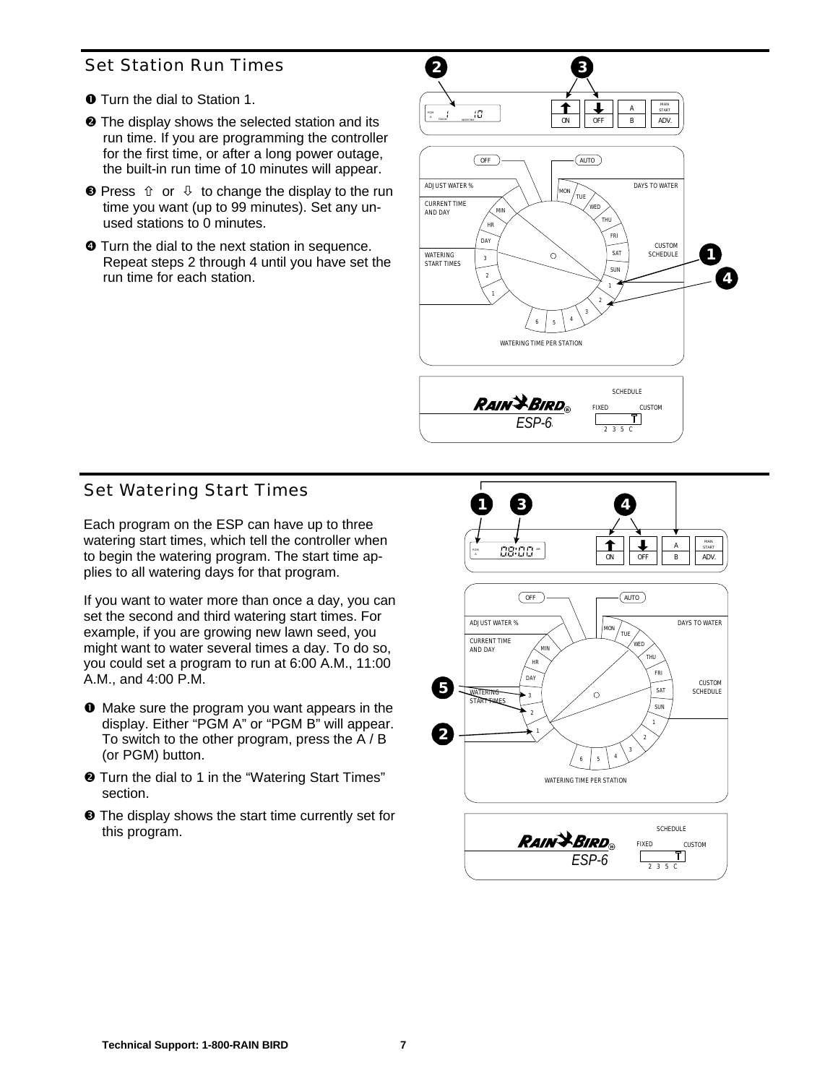# Set Station Run Times

- å Turn the dial to Station 1.
- $\odot$  The display shows the selected station and its run time. If you are programming the controller for the first time, or after a long power outage, the built-in run time of 10 minutes will appear.
- $\bullet$  Press  $\hat{U}$  or  $\hat{U}$  to change the display to the run time you want (up to 99 minutes). Set any unused stations to 0 minutes.
- $\bullet$  Turn the dial to the next station in sequence. Repeat steps 2 through 4 until you have set the run time for each station.



# Set Watering Start Times

Each program on the ESP can have up to three watering start times, which tell the controller when to begin the watering program. The start time applies to all watering days for that program.

If you want to water more than once a day, you can set the second and third watering start times. For example, if you are growing new lawn seed, you might want to water several times a day. To do so, you could set a program to run at 6:00 A.M., 11:00 A.M., and 4:00 P.M.

- å Make sure the program you want appears in the display. Either "PGM A" or "PGM B" will appear. To switch to the other program, press the A / B (or PGM) button.
- $\odot$  Turn the dial to 1 in the "Watering Start Times" section.
- é The display shows the start time currently set for this program.

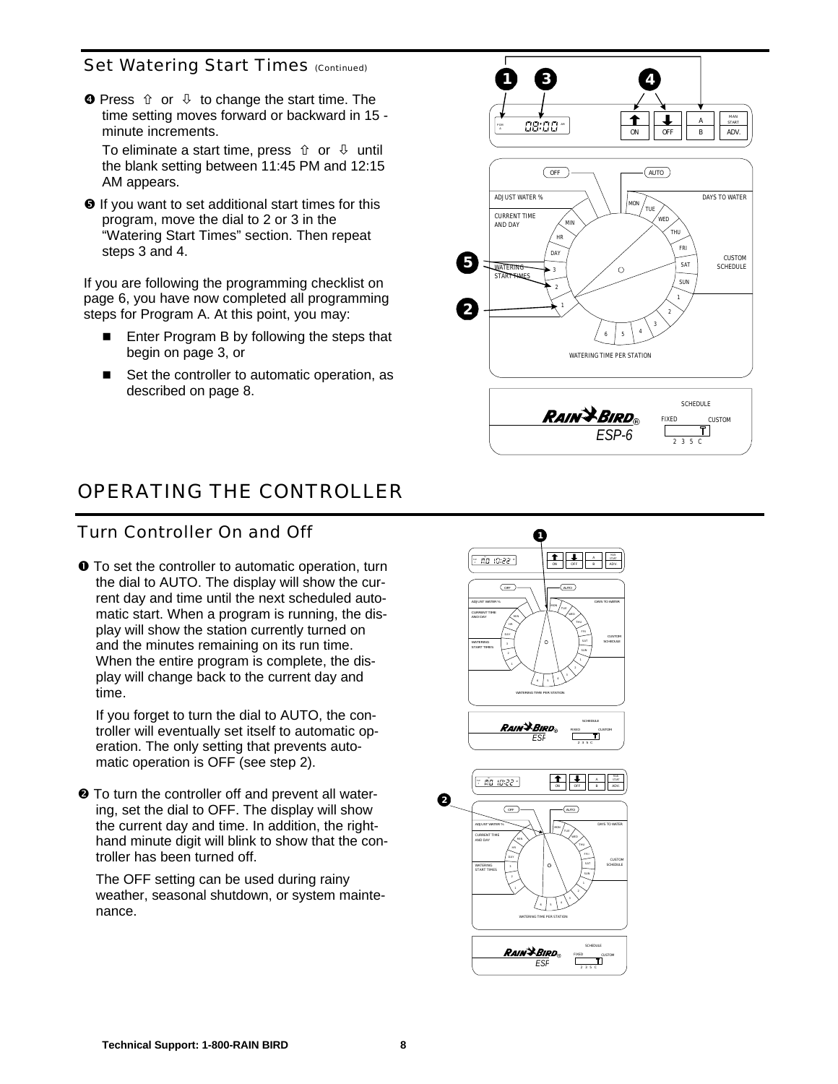#### Set Watering Start Times (Continued)

 $\bullet$  Press  $\hat{U}$  or  $\hat{U}$  to change the start time. The time setting moves forward or backward in 15 minute increments.

To eliminate a start time, press  $\hat{u}$  or  $\hat{\psi}$  until the blank setting between 11:45 PM and 12:15 AM appears.

 $\Theta$  If you want to set additional start times for this program, move the dial to 2 or 3 in the "Watering Start Times" section. Then repeat steps 3 and 4.

If you are following the programming checklist on page 6, you have now completed all programming steps for Program A. At this point, you may:

- $\blacksquare$  Enter Program B by following the steps that begin on page 3, or
- $\blacksquare$  Set the controller to automatic operation, as described on page 8.



# *OPERATING THE CONTROLLER*

# Turn Controller On and Off

 $\bullet$  To set the controller to automatic operation, turn the dial to AUTO. The display will show the current day and time until the next scheduled automatic start. When a program is running, the display will show the station currently turned on and the minutes remaining on its run time. When the entire program is complete, the display will change back to the current day and time.

If you forget to turn the dial to AUTO, the controller will eventually set itself to automatic operation. The only setting that prevents automatic operation is OFF (see step 2).

 $\odot$  To turn the controller off and prevent all watering, set the dial to OFF. The display will show the current day and time. In addition, the righthand minute digit will blink to show that the controller has been turned off.

The OFF setting can be used during rainy weather, seasonal shutdown, or system maintenance.



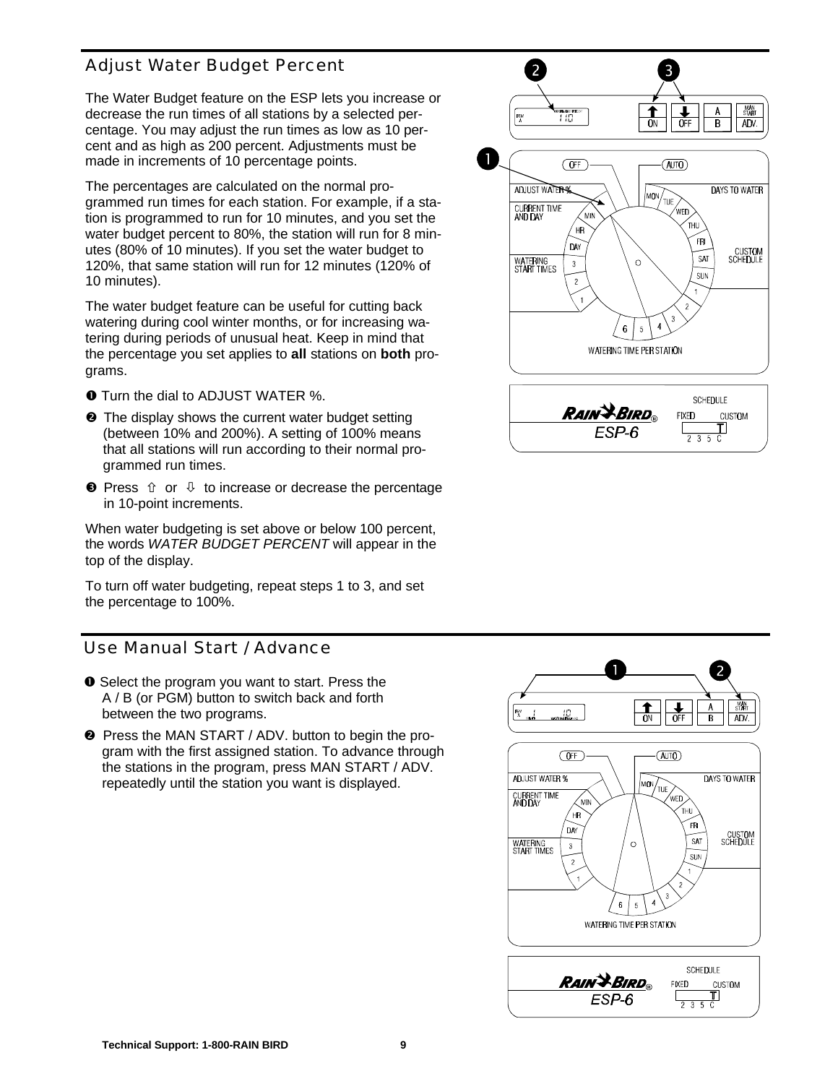# Adjust Water Budget Percent

The Water Budget feature on the ESP lets you increase or decrease the run times of all stations by a selected percentage. You may adjust the run times as low as 10 percent and as high as 200 percent. Adjustments must be made in increments of 10 percentage points.

The percentages are calculated on the normal programmed run times for each station. For example, if a station is programmed to run for 10 minutes, and you set the water budget percent to 80%, the station will run for 8 minutes (80% of 10 minutes). If you set the water budget to 120%, that same station will run for 12 minutes (120% of 10 minutes).

The water budget feature can be useful for cutting back watering during cool winter months, or for increasing watering during periods of unusual heat. Keep in mind that the percentage you set applies to **all** stations on **both** programs.

- **O** Turn the dial to ADJUST WATER %.
- $\odot$  The display shows the current water budget setting (between 10% and 200%). A setting of 100% means that all stations will run according to their normal programmed run times.
- $\bullet$  Press  $\hat{U}$  or  $\hat{U}$  to increase or decrease the percentage in 10-point increments.

When water budgeting is set above or below 100 percent, the words *WATER BUDGET PERCENT* will appear in the top of the display.

To turn off water budgeting, repeat steps 1 to 3, and set the percentage to 100%.

#### Use Manual Start / Advance

- å Select the program you want to start. Press the A / B (or PGM) button to switch back and forth between the two programs.
- $\odot$  Press the MAN START / ADV. button to begin the program with the first assigned station. To advance through the stations in the program, press MAN START / ADV. repeatedly until the station you want is displayed.



 $\frac{1}{\alpha}$  $\sqrt{\frac{1}{\text{OF}}}$ **MAN** A ÚЗ.  $\overline{B}$ ADV.  $\overline{OFF}$  $(\overline{AUTO})$ **ADJUST WATER % DAYS TO WATER**  $\widehat{\text{MON}}_{\text{TUE}}$ **CURRENT TIME**<br>AND DAY .<br>Min HR FR DA CUSTOM<br>SCHEDULE SAT WATERING<br>START TIMES  $\circ$  $\mathbf 6$ 5 WATERING TIME PER STATION SCHEDULE **RAIN & BIRD FIXED** CUSTOM ESP-6 IJ  $235C$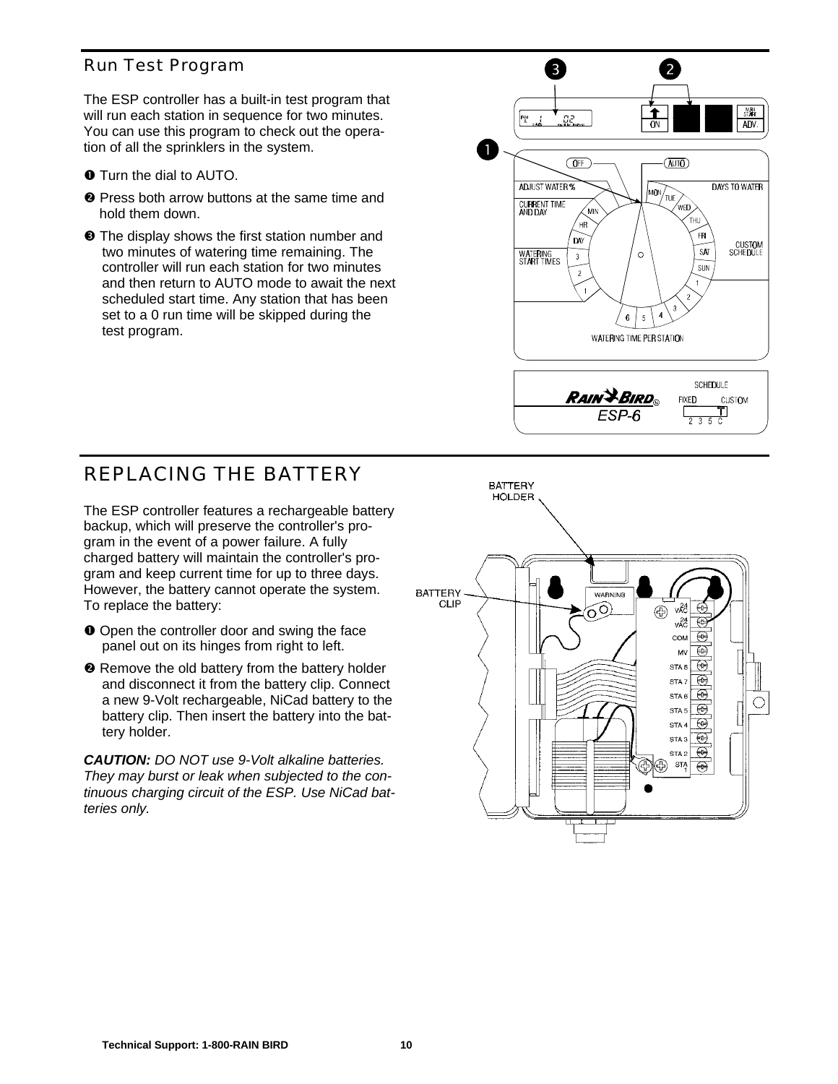# Run Test Program

The ESP controller has a built-in test program that will run each station in sequence for two minutes. You can use this program to check out the operation of all the sprinklers in the system.

- $\bullet$  Turn the dial to AUTO.
- $\odot$  Press both arrow buttons at the same time and hold them down.
- $\Theta$  The display shows the first station number and two minutes of watering time remaining. The controller will run each station for two minutes and then return to AUTO mode to await the next scheduled start time. Any station that has been set to a 0 run time will be skipped during the test program.



# *REPLACING THE BATTERY*

The ESP controller features a rechargeable battery backup, which will preserve the controller's program in the event of a power failure. A fully charged battery will maintain the controller's program and keep current time for up to three days. However, the battery cannot operate the system. To replace the battery:

- $\bullet$  Open the controller door and swing the face panel out on its hinges from right to left.
- $\odot$  Remove the old battery from the battery holder and disconnect it from the battery clip. Connect a new 9-Volt rechargeable, NiCad battery to the battery clip. Then insert the battery into the battery holder.

*CAUTION: DO NOT use 9-Volt alkaline batteries. They may burst or leak when subjected to the continuous charging circuit of the ESP. Use NiCad batteries only.*

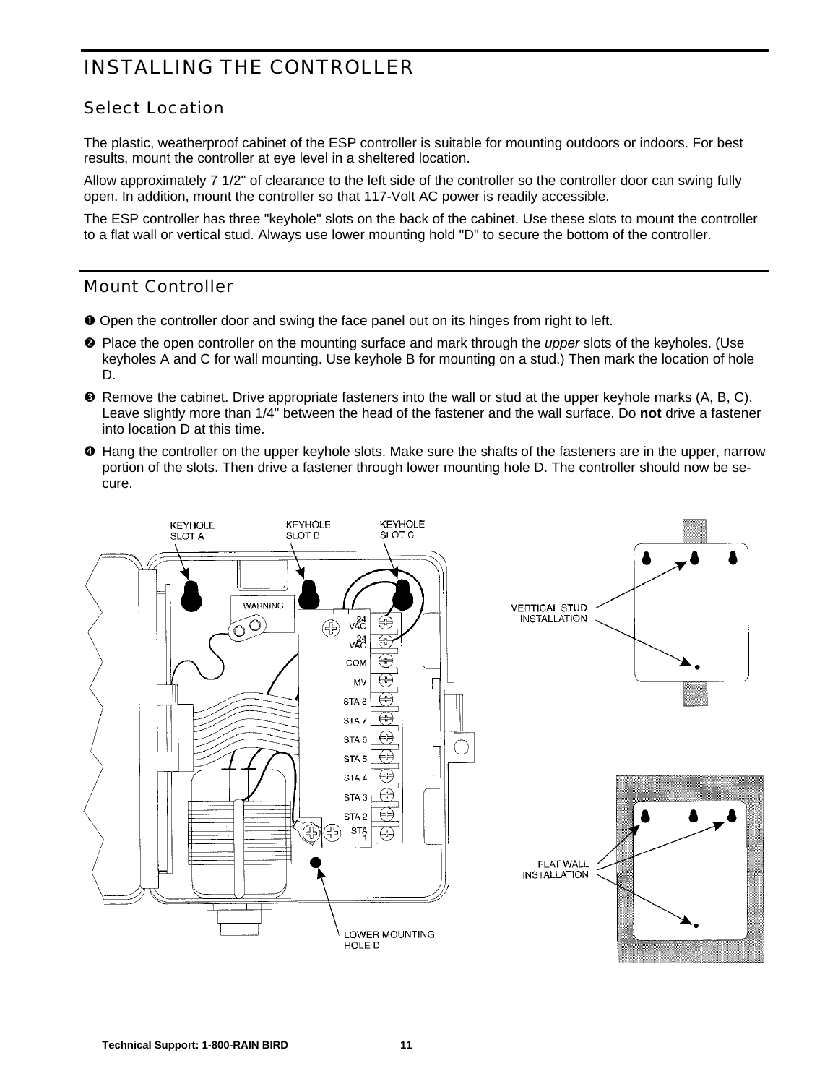# *INSTALLING THE CONTROLLER*

# Select Location

The plastic, weatherproof cabinet of the ESP controller is suitable for mounting outdoors or indoors. For best results, mount the controller at eye level in a sheltered location.

Allow approximately 7 1/2" of clearance to the left side of the controller so the controller door can swing fully open. In addition, mount the controller so that 117-Volt AC power is readily accessible.

The ESP controller has three "keyhole" slots on the back of the cabinet. Use these slots to mount the controller to a flat wall or vertical stud. Always use lower mounting hold "D" to secure the bottom of the controller.

#### Mount Controller

- å Open the controller door and swing the face panel out on its hinges from right to left.
- $\odot$  Place the open controller on the mounting surface and mark through the *upper* slots of the keyholes. (Use keyholes A and C for wall mounting. Use keyhole B for mounting on a stud.) Then mark the location of hole D.
- é Remove the cabinet. Drive appropriate fasteners into the wall or stud at the upper keyhole marks (A, B, C). Leave slightly more than 1/4" between the head of the fastener and the wall surface. Do **not** drive a fastener into location D at this time.
- è Hang the controller on the upper keyhole slots. Make sure the shafts of the fasteners are in the upper, narrow portion of the slots. Then drive a fastener through lower mounting hole D. The controller should now be secure.

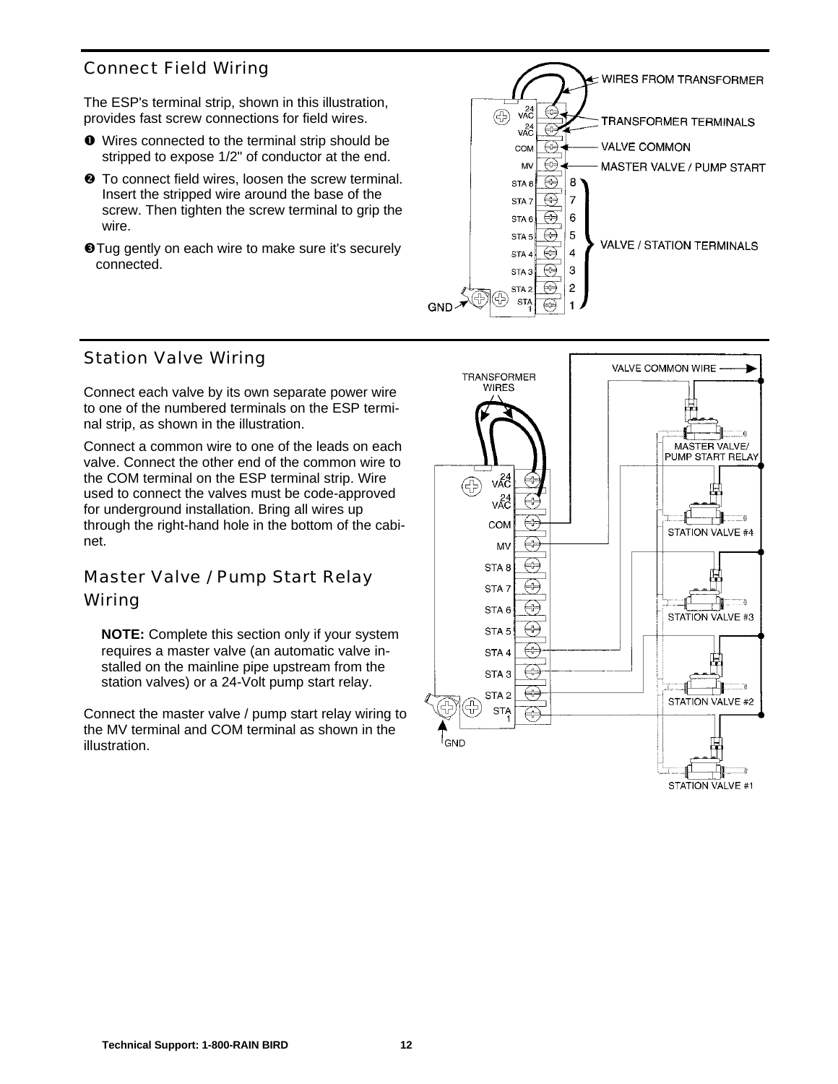# Connect Field Wiring

The ESP's terminal strip, shown in this illustration, provides fast screw connections for field wires.

- å Wires connected to the terminal strip should be stripped to expose 1/2" of conductor at the end.
- $\odot$  To connect field wires, loosen the screw terminal. Insert the stripped wire around the base of the screw. Then tighten the screw terminal to grip the wire.
- **O**Tug gently on each wire to make sure it's securely connected.



#### Station Valve Wiring

Connect each valve by its own separate power wire to one of the numbered terminals on the ESP terminal strip, as shown in the illustration.

Connect a common wire to one of the leads on each valve. Connect the other end of the common wire to the COM terminal on the ESP terminal strip. Wire used to connect the valves must be code-approved for underground installation. Bring all wires up through the right-hand hole in the bottom of the cabinet.

# Master Valve / Pump Start Relay Wiring

**NOTE:** Complete this section only if your system requires a master valve (an automatic valve installed on the mainline pipe upstream from the station valves) or a 24-Volt pump start relay.

Connect the master valve / pump start relay wiring to the MV terminal and COM terminal as shown in the illustration.

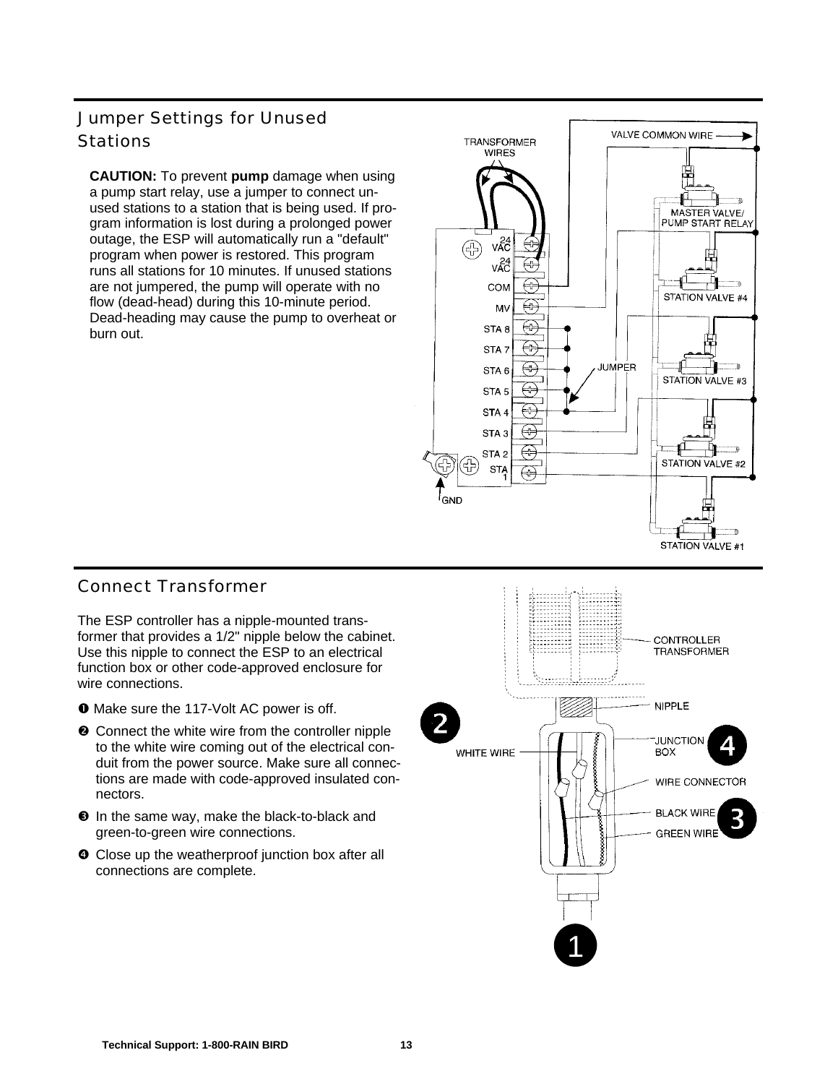# Jumper Settings for Unused **Stations**

**CAUTION:** To prevent **pump** damage when using a pump start relay, use a jumper to connect unused stations to a station that is being used. If program information is lost during a prolonged power outage, the ESP will automatically run a "default" program when power is restored. This program runs all stations for 10 minutes. If unused stations are not jumpered, the pump will operate with no flow (dead-head) during this 10-minute period. Dead-heading may cause the pump to overheat or burn out.



# Connect Transformer

The ESP controller has a nipple-mounted transformer that provides a 1/2" nipple below the cabinet. Use this nipple to connect the ESP to an electrical function box or other code-approved enclosure for wire connections.

- å Make sure the 117-Volt AC power is off.
- <sup>2</sup> Connect the white wire from the controller nipple to the white wire coming out of the electrical conduit from the power source. Make sure all connections are made with code-approved insulated connectors.
- $\Theta$  In the same way, make the black-to-black and green-to-green wire connections.
- $\bullet$  Close up the weatherproof junction box after all connections are complete.

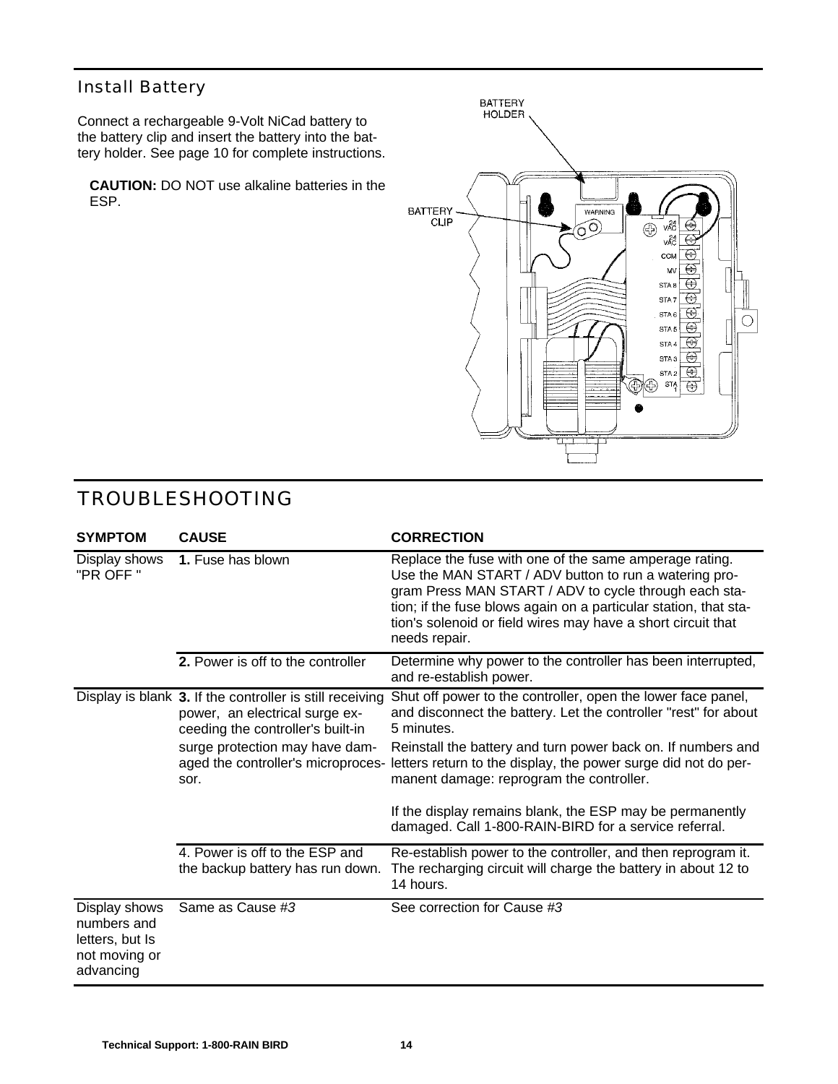# Install Battery

Connect a rechargeable 9-Volt NiCad battery to the battery clip and insert the battery into the battery holder. See page 10 for complete instructions.

**CAUTION:** DO NOT use alkaline batteries in the ESP.



| <b>SYMPTOM</b>                                                                | <b>CAUSE</b>                                                                                                                    | <b>CORRECTION</b>                                                                                                                                                                                                                                                                                                             |
|-------------------------------------------------------------------------------|---------------------------------------------------------------------------------------------------------------------------------|-------------------------------------------------------------------------------------------------------------------------------------------------------------------------------------------------------------------------------------------------------------------------------------------------------------------------------|
| Display shows<br>"PR OFF "                                                    | 1. Fuse has blown                                                                                                               | Replace the fuse with one of the same amperage rating.<br>Use the MAN START / ADV button to run a watering pro-<br>gram Press MAN START / ADV to cycle through each sta-<br>tion; if the fuse blows again on a particular station, that sta-<br>tion's solenoid or field wires may have a short circuit that<br>needs repair. |
|                                                                               | 2. Power is off to the controller                                                                                               | Determine why power to the controller has been interrupted,<br>and re-establish power.                                                                                                                                                                                                                                        |
|                                                                               | Display is blank 3. If the controller is still receiving<br>power, an electrical surge ex-<br>ceeding the controller's built-in | Shut off power to the controller, open the lower face panel,<br>and disconnect the battery. Let the controller "rest" for about<br>5 minutes.                                                                                                                                                                                 |
|                                                                               | surge protection may have dam-<br>aged the controller's microproces-<br>sor.                                                    | Reinstall the battery and turn power back on. If numbers and<br>letters return to the display, the power surge did not do per-<br>manent damage: reprogram the controller.                                                                                                                                                    |
|                                                                               |                                                                                                                                 | If the display remains blank, the ESP may be permanently<br>damaged. Call 1-800-RAIN-BIRD for a service referral.                                                                                                                                                                                                             |
|                                                                               | 4. Power is off to the ESP and<br>the backup battery has run down.                                                              | Re-establish power to the controller, and then reprogram it.<br>The recharging circuit will charge the battery in about 12 to<br>14 hours.                                                                                                                                                                                    |
| Display shows<br>numbers and<br>letters, but Is<br>not moving or<br>advancing | Same as Cause #3                                                                                                                | See correction for Cause #3                                                                                                                                                                                                                                                                                                   |

# *TROUBLESHOOTING*